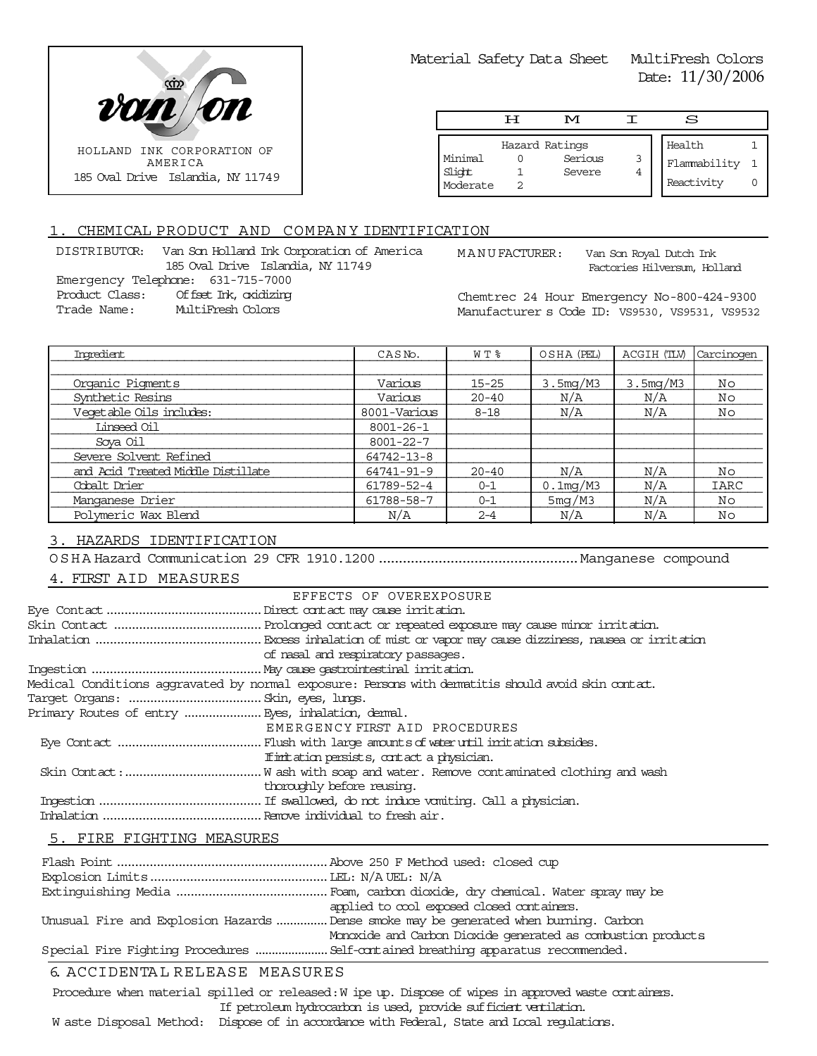

Material Safety Data Sheet MultiFresh Colors Date: 11/30/2006

|                               | டா | M                                   |        | S                                    |  |
|-------------------------------|----|-------------------------------------|--------|--------------------------------------|--|
| Minimal<br>Slight<br>Moderate |    | Hazard Ratings<br>Serious<br>Severe | 3<br>4 | Health<br>Flammability<br>Reactivity |  |

## 1. CHEMICAL PRODUCT AND COMPANY IDENTIFICATION

DISTRIBUTOR: Van Son Holland Ink Corporation of America 185 Oval Drive Islandia, NY 11749 Emergency Telephone: 631-715-7000 Product Class: Offset Ink, oxidizing Trade Name: MultiFresh Colors

MANUFACTURER: Van Son Royal Dutch Ink

Factories Hilversum, Holland

Chemtrec 24 Hour Emergency No-800-424-9300 Manufacturer s Code ID: VS9530, VS9531, VS9532

| Imredient                          | CASN <sub>o</sub> . | WT %      | OSHA (PEL)            | ACGIH (TLV) | Carcinogen  |
|------------------------------------|---------------------|-----------|-----------------------|-------------|-------------|
|                                    |                     |           |                       |             |             |
| Organic Pigments                   | Various             | $15 - 25$ | 3.5 <sub>mq</sub> /M3 | 3.5mg/M3    | Νo          |
| Synthetic Resins                   | Various             | $20 - 40$ | N/A                   | N/A         | Νo          |
| Vegetable Oils includes:           | 8001-Various        | $8 - 18$  | N/A                   | N/A         | Νo          |
| Linseed Oil                        | $8001 - 26 - 1$     |           |                       |             |             |
| Sova Oil                           | 8001-22-7           |           |                       |             |             |
| Severe Solvent Refined             | 64742-13-8          |           |                       |             |             |
| and Acid Treated Middle Distillate | 64741-91-9          | $20 - 40$ | N/A                   | N/A         | Νo          |
| Cobalt Drier                       | 61789-52-4          | $0 - 1$   | $0.1$ mg/M3           | N/A         | <b>IARC</b> |
| Manganese Drier                    | 61788-58-7          | $0 - 1$   | 5mg/M3                | N/A         | Νo          |
| Polymeric Wax Blend                | N/A                 | $2 - 4$   | N/A                   | N/A         | No          |

## 3. HAZARDS IDENTIFICATION

OSHA Hazard Communication 29 CFR 1910.1200..................................................Manganese compound

## 4. FIRST AID MEASURES

|                           | EFFECTS OF OVEREXPOSURE                                                                             |  |
|---------------------------|-----------------------------------------------------------------------------------------------------|--|
|                           |                                                                                                     |  |
|                           |                                                                                                     |  |
|                           |                                                                                                     |  |
|                           | of nasal and respiratory passages.                                                                  |  |
|                           |                                                                                                     |  |
|                           | Medical Conditions aggravated by normal exposure: Persons with dematitis should avoid skin contact. |  |
|                           |                                                                                                     |  |
|                           | Primary Routes of entry  Eyes, inhalation, denmal.                                                  |  |
|                           | EMERGENCY FIRST AID PROCEDURES                                                                      |  |
|                           |                                                                                                     |  |
|                           | If initiation persists, contact a physician.                                                        |  |
|                           |                                                                                                     |  |
|                           | thoroughly before reusing.                                                                          |  |
|                           |                                                                                                     |  |
|                           |                                                                                                     |  |
| 5. FIRE FIGHTING MEASURES |                                                                                                     |  |

# Flash Point..........................................................Above 250 F Method used: closed cup Explosion Limits.................................................LEL: N/A UEL: N/A Extinguishing Media ..........................................Foam, carbon dioxide, dry chemical. Water spray may be applied to cool exposed closed containers. Unusual Fire and Explosion Hazards...............Dense smoke may be generated when burning. Carbon Monoxide and Carbon Dioxide generated as combustion products. Special Fire Fighting Procedures ......................Self-contained breathing apparatus recommended.

# 6. ACCIDENTA L RELEASE MEASURES

Procedure when material spilled or released: W ipe up. Dispose of wipes in approved waste containers. If petroleum hydrocarbon is used, provide sufficient ventilation.

#### W aste Disposal Method: Dispose of in accordance with Federal, State and Local regulations.